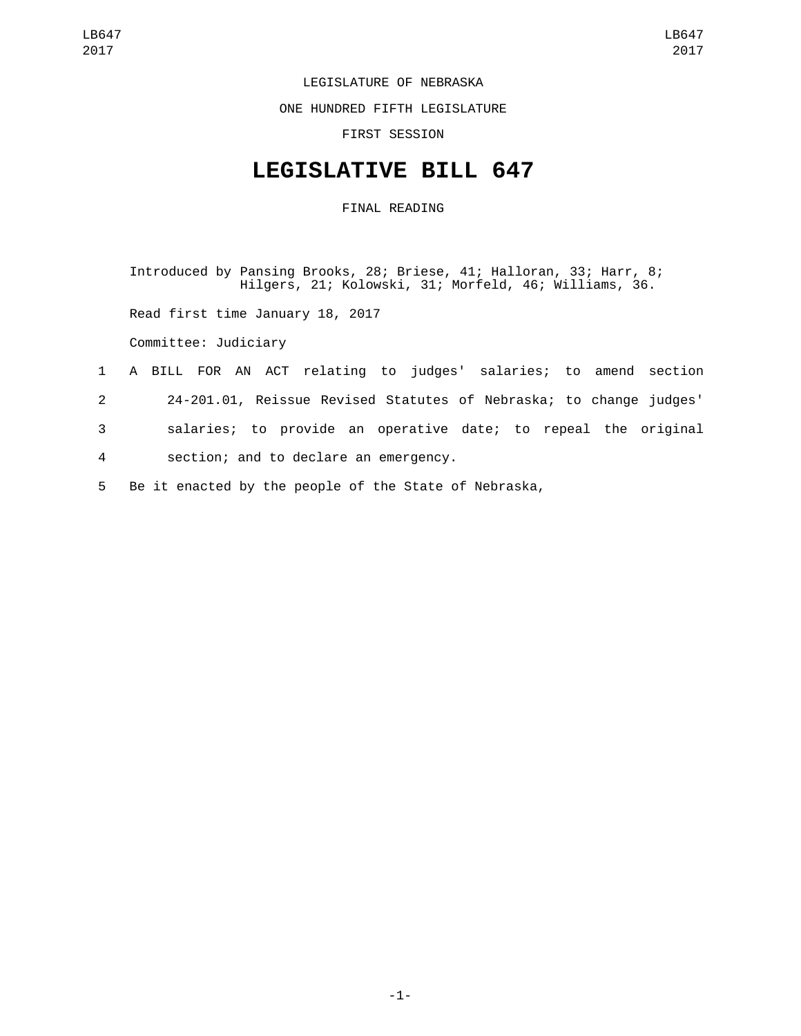## LEGISLATURE OF NEBRASKA

ONE HUNDRED FIFTH LEGISLATURE

FIRST SESSION

## **LEGISLATIVE BILL 647**

FINAL READING

Introduced by Pansing Brooks, 28; Briese, 41; Halloran, 33; Harr, 8; Hilgers, 21; Kolowski, 31; Morfeld, 46; Williams, 36.

Read first time January 18, 2017

Committee: Judiciary

## 1 A BILL FOR AN ACT relating to judges' salaries; to amend section

- 2 24-201.01, Reissue Revised Statutes of Nebraska; to change judges'
- 3 salaries; to provide an operative date; to repeal the original section; and to declare an emergency.4
- 
- 5 Be it enacted by the people of the State of Nebraska,